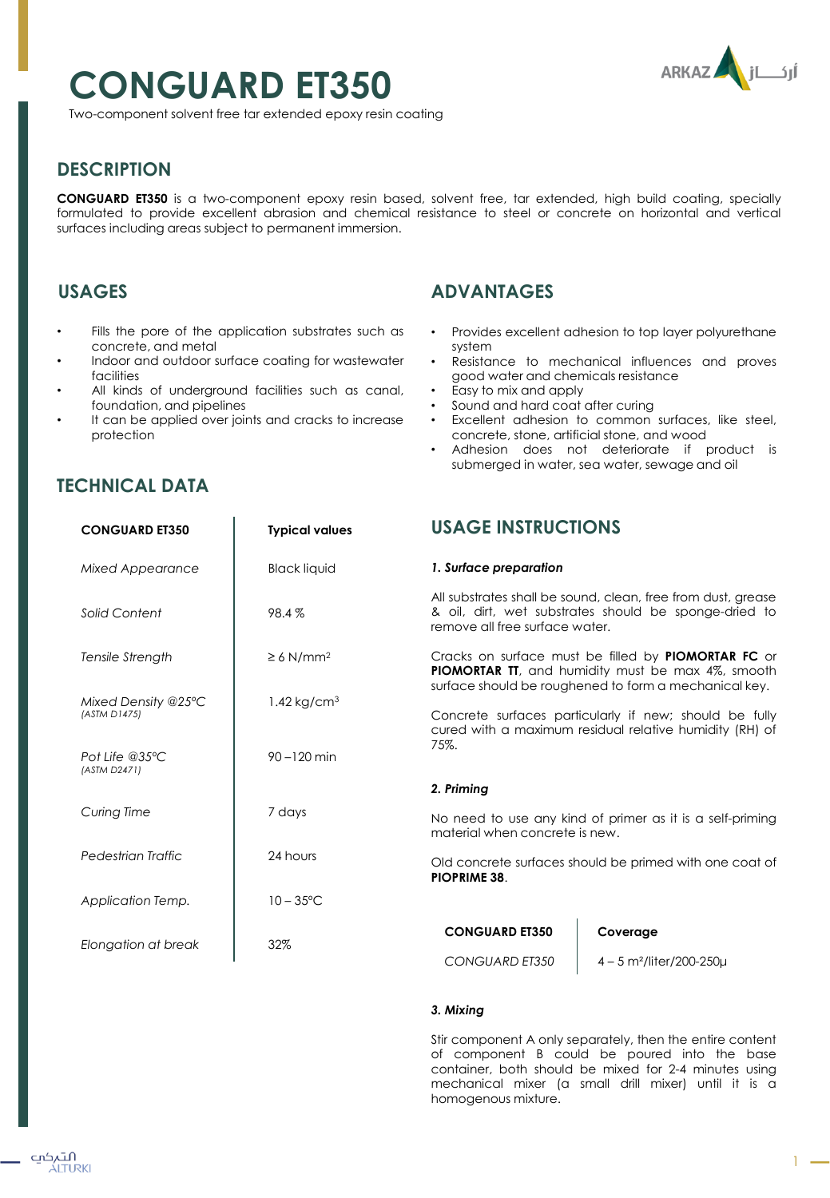# **CONGUARD ET350**



Two-component solvent free tar extended epoxy resin coating

# **DESCRIPTION**

**CONGUARD ET350** is a two-component epoxy resin based, solvent free, tar extended, high build coating, specially formulated to provide excellent abrasion and chemical resistance to steel or concrete on horizontal and vertical surfaces including areas subject to permanent immersion.

## **USAGES**

**TECHNICAL DATA**

- Fills the pore of the application substrates such as concrete, and metal
- Indoor and outdoor surface coating for wastewater facilities
- All kinds of underground facilities such as canal, foundation, and pipelines
- It can be applied over joints and cracks to increase protection

# **ADVANTAGES**

- Provides excellent adhesion to top layer polyurethane system
- Resistance to mechanical influences and proves good water and chemicals resistance
- Easy to mix and apply
- Sound and hard coat after curing
- Excellent adhesion to common surfaces, like steel, concrete, stone, artificial stone, and wood
- Adhesion does not deteriorate if product is submerged in water, sea water, sewage and oil

| <b>CONGUARD ET350</b>               | <b>Typical values</b>      | <b>USAGE INSTRUCTIONS</b>                                                                                                                                                                                                                                                                                     |                                                                                                                       |
|-------------------------------------|----------------------------|---------------------------------------------------------------------------------------------------------------------------------------------------------------------------------------------------------------------------------------------------------------------------------------------------------------|-----------------------------------------------------------------------------------------------------------------------|
| <b>Mixed Appearance</b>             | <b>Black liquid</b>        | 1. Surface preparation                                                                                                                                                                                                                                                                                        |                                                                                                                       |
| Solid Content                       | 98.4%                      | remove all free surface water.                                                                                                                                                                                                                                                                                | All substrates shall be sound, clean, free from dust, grease<br>& oil, dirt, wet substrates should be sponge-dried to |
| Tensile Strength                    | $\geq 6$ N/mm <sup>2</sup> | Cracks on surface must be filled by <b>PIOMORTAR FC</b> or<br><b>PIOMORTAR TT</b> , and humidity must be max 4%, smooth<br>surface should be roughened to form a mechanical key.<br>Concrete surfaces particularly if new; should be fully<br>cured with a maximum residual relative humidity (RH) of<br>75%. |                                                                                                                       |
| Mixed Density @25°C<br>(ASTM D1475) | $1.42$ kg/cm <sup>3</sup>  |                                                                                                                                                                                                                                                                                                               |                                                                                                                       |
| Pot Life $@35°C$<br>(ASTM D2471)    | $90 - 120$ min             |                                                                                                                                                                                                                                                                                                               |                                                                                                                       |
|                                     |                            | 2. Priming                                                                                                                                                                                                                                                                                                    |                                                                                                                       |
| Curing Time                         | 7 days                     | No need to use any kind of primer as it is a self-priming<br>material when concrete is new.                                                                                                                                                                                                                   |                                                                                                                       |
| Pedestrian Traffic                  | 24 hours                   | Old concrete surfaces should be primed with one coat of<br><b>PIOPRIME 38.</b>                                                                                                                                                                                                                                |                                                                                                                       |
| Application Temp.                   | $10 - 35^{\circ}$ C        |                                                                                                                                                                                                                                                                                                               |                                                                                                                       |
| Elongation at break                 | 32%                        | <b>CONGUARD ET350</b>                                                                                                                                                                                                                                                                                         | Coverage                                                                                                              |
|                                     |                            | <b>CONGUARD ET350</b>                                                                                                                                                                                                                                                                                         | $4 - 5$ m <sup>2</sup> /liter/200-250 $\mu$                                                                           |

## *3. Mixing*

Stir component A only separately, then the entire content of component B could be poured into the base container, both should be mixed for 2-4 minutes using mechanical mixer (a small drill mixer) until it is a homogenous mixture.

#### التہکپ ÁLTURKI

1